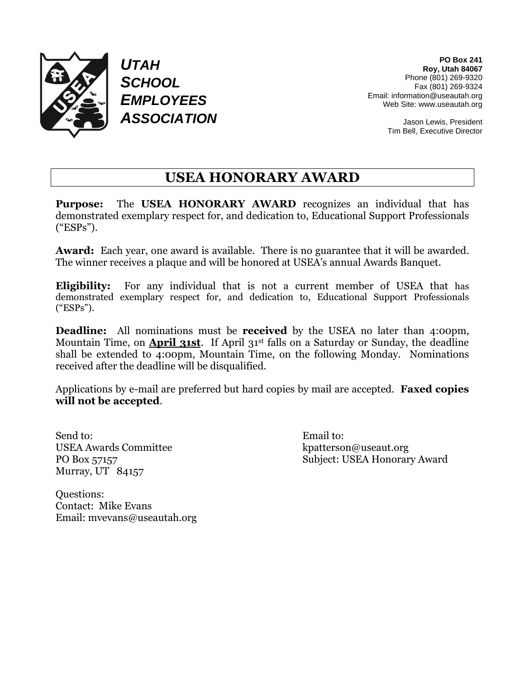

*UTAH SCHOOL EMPLOYEES ASSOCIATION*

**PO Box 241 Roy, Utah 84067** Phone (801) 269-9320 Fax (801) 269-9324 Email: information@useautah.org Web Site: www.useautah.org

> Jason Lewis, President Tim Bell, Executive Director

## **USEA HONORARY AWARD**

**Purpose:** The **USEA HONORARY AWARD** recognizes an individual that has demonstrated exemplary respect for, and dedication to, Educational Support Professionals ("ESPs").

**Award:** Each year, one award is available. There is no guarantee that it will be awarded. The winner receives a plaque and will be honored at USEA's annual Awards Banquet.

**Eligibility:** For any individual that is not a current member of USEA that has demonstrated exemplary respect for, and dedication to, Educational Support Professionals ("ESPs").

**Deadline:** All nominations must be **received** by the USEA no later than 4:00pm, Mountain Time, on **April 31st**. If April 31st falls on a Saturday or Sunday, the deadline shall be extended to 4:00pm, Mountain Time, on the following Monday. Nominations received after the deadline will be disqualified.

Applications by e-mail are preferred but hard copies by mail are accepted. **Faxed copies will not be accepted**.

Send to: Email to: USEA Awards Committee kpatterson@useaut.org Murray, UT 84157

PO Box 57157 Subject: USEA Honorary Award

Questions: Contact: Mike Evans Email: mvevans@useautah.org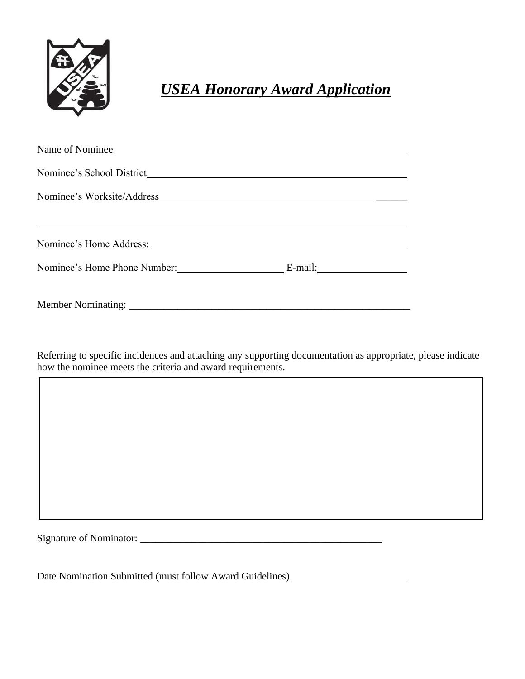

## *USEA Honorary Award Application*

| Name of Nominee              |                                                                               |  |
|------------------------------|-------------------------------------------------------------------------------|--|
| Nominee's School District    | <u> 1989 - Johann Barn, amerikansk politiker (d. 1989)</u>                    |  |
|                              |                                                                               |  |
|                              |                                                                               |  |
|                              |                                                                               |  |
| Nominee's Home Phone Number: | E-mail: $\frac{1}{\sqrt{1-\frac{1}{2}} \cdot \frac{1}{\sqrt{1-\frac{1}{2}}}}$ |  |
|                              |                                                                               |  |
|                              |                                                                               |  |

Referring to specific incidences and attaching any supporting documentation as appropriate, please indicate how the nominee meets the criteria and award requirements.

Signature of Nominator:

 $\overline{\phantom{a}}$ 

Date Nomination Submitted (must follow Award Guidelines) \_\_\_\_\_\_\_\_\_\_\_\_\_\_\_\_\_\_\_\_\_\_\_